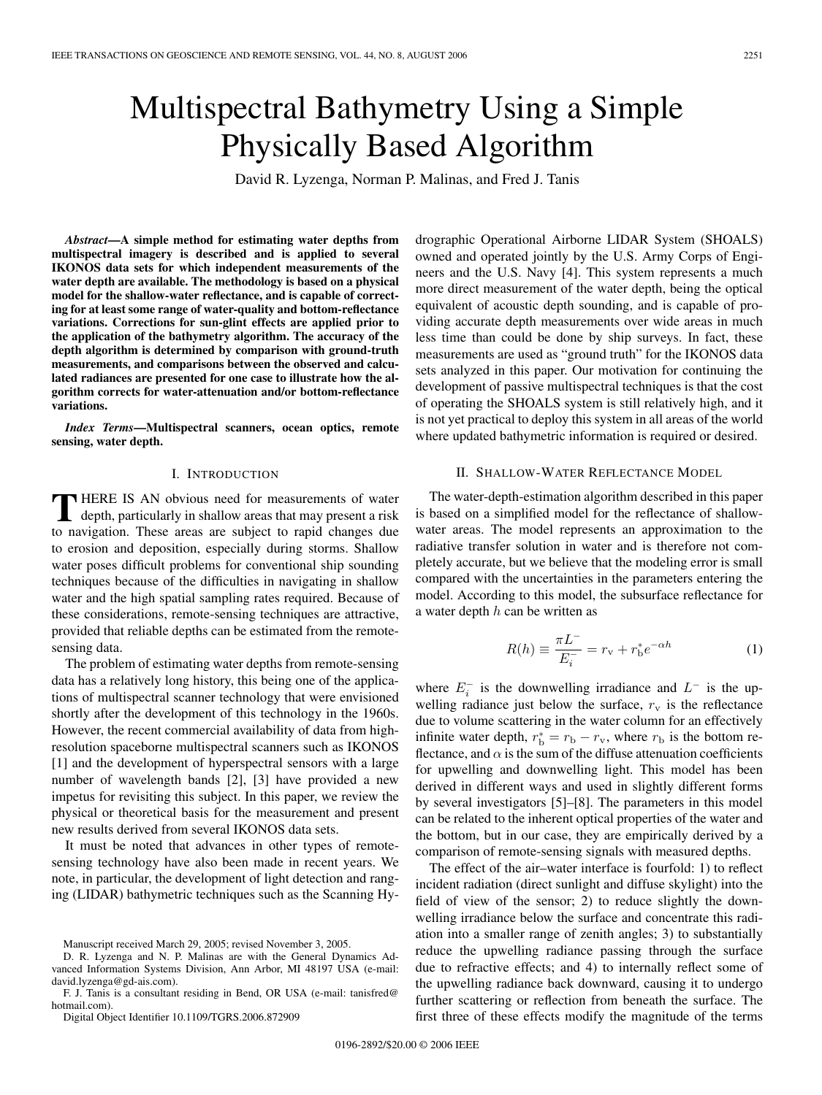# Multispectral Bathymetry Using a Simple Physically Based Algorithm

David R. Lyzenga, Norman P. Malinas, and Fred J. Tanis

*Abstract***—A simple method for estimating water depths from multispectral imagery is described and is applied to several IKONOS data sets for which independent measurements of the water depth are available. The methodology is based on a physical model for the shallow-water reflectance, and is capable of correcting for at least some range of water-quality and bottom-reflectance variations. Corrections for sun-glint effects are applied prior to the application of the bathymetry algorithm. The accuracy of the depth algorithm is determined by comparison with ground-truth measurements, and comparisons between the observed and calculated radiances are presented for one case to illustrate how the algorithm corrects for water-attenuation and/or bottom-reflectance variations.**

*Index Terms***—Multispectral scanners, ocean optics, remote sensing, water depth.**

#### I. INTRODUCTION

**T** HERE IS AN obvious need for measurements of water **depth, particularly in shallow areas that may present a risk** to navigation. These areas are subject to rapid changes due to erosion and deposition, especially during storms. Shallow water poses difficult problems for conventional ship sounding techniques because of the difficulties in navigating in shallow water and the high spatial sampling rates required. Because of these considerations, remote-sensing techniques are attractive, provided that reliable depths can be estimated from the remotesensing data.

The problem of estimating water depths from remote-sensing data has a relatively long history, this being one of the applications of multispectral scanner technology that were envisioned shortly after the development of this technology in the 1960s. However, the recent commercial availability of data from highresolution spaceborne multispectral scanners such as IKONOS [1] and the development of hyperspectral sensors with a large number of wavelength bands [2], [3] have provided a new impetus for revisiting this subject. In this paper, we review the physical or theoretical basis for the measurement and present new results derived from several IKONOS data sets.

It must be noted that advances in other types of remotesensing technology have also been made in recent years. We note, in particular, the development of light detection and ranging (LIDAR) bathymetric techniques such as the Scanning Hy-

F. J. Tanis is a consultant residing in Bend, OR USA (e-mail: tanisfred@ hotmail.com).

Digital Object Identifier 10.1109/TGRS.2006.872909

drographic Operational Airborne LIDAR System (SHOALS) owned and operated jointly by the U.S. Army Corps of Engineers and the U.S. Navy [4]. This system represents a much more direct measurement of the water depth, being the optical equivalent of acoustic depth sounding, and is capable of providing accurate depth measurements over wide areas in much less time than could be done by ship surveys. In fact, these measurements are used as "ground truth" for the IKONOS data sets analyzed in this paper. Our motivation for continuing the development of passive multispectral techniques is that the cost of operating the SHOALS system is still relatively high, and it is not yet practical to deploy this system in all areas of the world where updated bathymetric information is required or desired.

# II. SHALLOW-WATER REFLECTANCE MODEL

The water-depth-estimation algorithm described in this paper is based on a simplified model for the reflectance of shallowwater areas. The model represents an approximation to the radiative transfer solution in water and is therefore not completely accurate, but we believe that the modeling error is small compared with the uncertainties in the parameters entering the model. According to this model, the subsurface reflectance for a water depth  $h$  can be written as

$$
R(h) \equiv \frac{\pi L^{-}}{E_{i}^{-}} = r_{\rm v} + r_{\rm b}^{*} e^{-\alpha h}
$$
 (1)

where  $E_i^-$  is the downwelling irradiance and  $L^-$  is the upwelling radiance just below the surface,  $r_v$  is the reflectance due to volume scattering in the water column for an effectively infinite water depth,  $r_b^* = r_b - r_v$ , where  $r_b$  is the bottom reflectance, and  $\alpha$  is the sum of the diffuse attenuation coefficients for upwelling and downwelling light. This model has been derived in different ways and used in slightly different forms by several investigators [5]–[8]. The parameters in this model can be related to the inherent optical properties of the water and the bottom, but in our case, they are empirically derived by a comparison of remote-sensing signals with measured depths.

The effect of the air–water interface is fourfold: 1) to reflect incident radiation (direct sunlight and diffuse skylight) into the field of view of the sensor; 2) to reduce slightly the downwelling irradiance below the surface and concentrate this radiation into a smaller range of zenith angles; 3) to substantially reduce the upwelling radiance passing through the surface due to refractive effects; and 4) to internally reflect some of the upwelling radiance back downward, causing it to undergo further scattering or reflection from beneath the surface. The first three of these effects modify the magnitude of the terms

Manuscript received March 29, 2005; revised November 3, 2005.

D. R. Lyzenga and N. P. Malinas are with the General Dynamics Advanced Information Systems Division, Ann Arbor, MI 48197 USA (e-mail: david.lyzenga@gd-ais.com).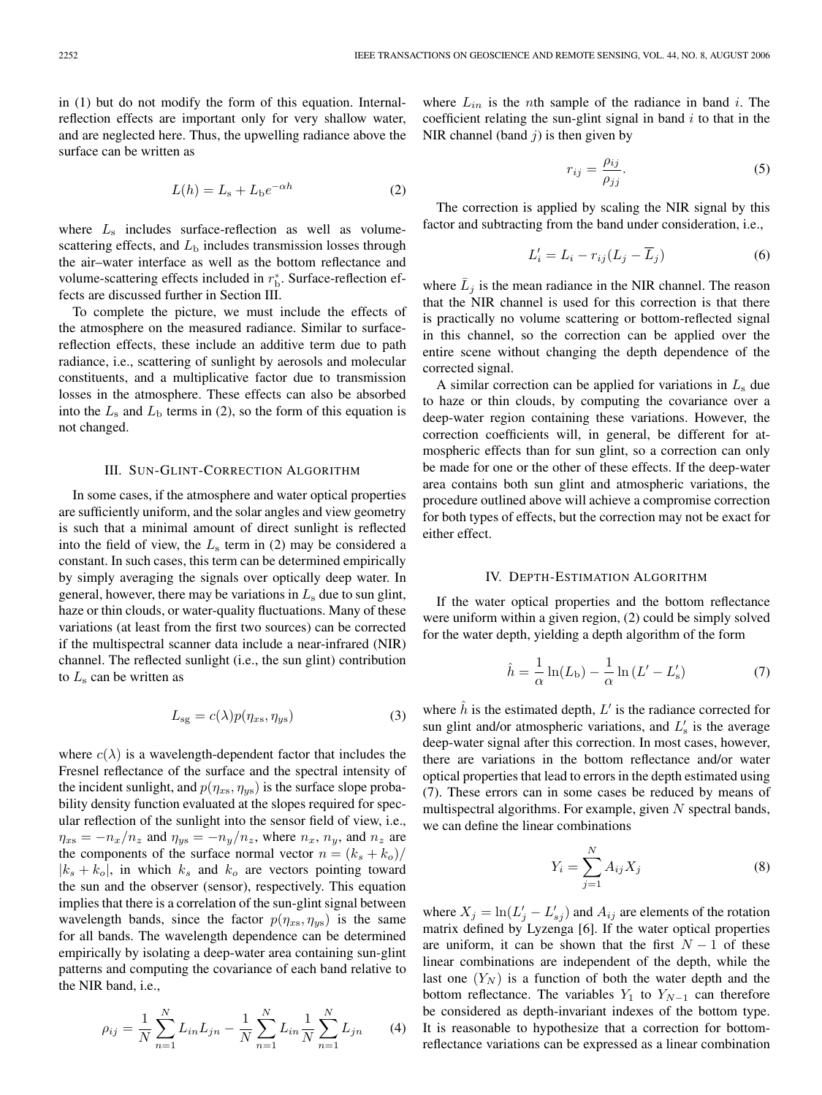in (1) but do not modify the form of this equation. Internalreflection effects are important only for very shallow water, and are neglected here. Thus, the upwelling radiance above the surface can be written as

$$
L(h) = L_{\rm s} + L_{\rm b} e^{-\alpha h} \tag{2}
$$

where  $L<sub>s</sub>$  includes surface-reflection as well as volumescattering effects, and  $L<sub>b</sub>$  includes transmission losses through the air–water interface as well as the bottom reflectance and volume-scattering effects included in  $r_b^*$ . Surface-reflection effects are discussed further in Section III.

To complete the picture, we must include the effects of the atmosphere on the measured radiance. Similar to surfacereflection effects, these include an additive term due to path radiance, i.e., scattering of sunlight by aerosols and molecular constituents, and a multiplicative factor due to transmission losses in the atmosphere. These effects can also be absorbed into the  $L_s$  and  $L_b$  terms in (2), so the form of this equation is not changed.

#### III. SUN-GLINT-CORRECTION ALGORITHM

In some cases, if the atmosphere and water optical properties are sufficiently uniform, and the solar angles and view geometry is such that a minimal amount of direct sunlight is reflected into the field of view, the  $L<sub>s</sub>$  term in (2) may be considered a constant. In such cases, this term can be determined empirically by simply averaging the signals over optically deep water. In general, however, there may be variations in  $L_s$  due to sun glint, haze or thin clouds, or water-quality fluctuations. Many of these variations (at least from the first two sources) can be corrected if the multispectral scanner data include a near-infrared (NIR) channel. The reflected sunlight (i.e., the sun glint) contribution to  $L<sub>s</sub>$  can be written as

$$
L_{\rm sg} = c(\lambda) p(\eta_{xs}, \eta_{ys})
$$
\n(3)

where  $c(\lambda)$  is a wavelength-dependent factor that includes the Fresnel reflectance of the surface and the spectral intensity of the incident sunlight, and  $p(\eta_{xs}, \eta_{ys})$  is the surface slope probability density function evaluated at the slopes required for specular reflection of the sunlight into the sensor field of view, i.e.,  $\eta_{xs} = -n_x/n_z$  and  $\eta_{ys} = -n_y/n_z$ , where  $n_x$ ,  $n_y$ , and  $n_z$  are the components of the surface normal vector  $n = (k_s + k_o)$  $|k_s + k_o|$ , in which  $k_s$  and  $k_o$  are vectors pointing toward the sun and the observer (sensor), respectively. This equation implies that there is a correlation of the sun-glint signal between wavelength bands, since the factor  $p(\eta_{xs}, \eta_{ys})$  is the same for all bands. The wavelength dependence can be determined empirically by isolating a deep-water area containing sun-glint patterns and computing the covariance of each band relative to the NIR band, i.e.,

$$
\rho_{ij} = \frac{1}{N} \sum_{n=1}^{N} L_{in} L_{jn} - \frac{1}{N} \sum_{n=1}^{N} L_{in} \frac{1}{N} \sum_{n=1}^{N} L_{jn}
$$
 (4)

where  $L_{in}$  is the *n*th sample of the radiance in band i. The coefficient relating the sun-glint signal in band  $i$  to that in the NIR channel (band  $j$ ) is then given by

$$
r_{ij} = \frac{\rho_{ij}}{\rho_{jj}}.\tag{5}
$$

The correction is applied by scaling the NIR signal by this factor and subtracting from the band under consideration, i.e.,

$$
L'_{i} = L_{i} - r_{ij}(L_{j} - \overline{L}_{j})
$$
\n(6)

where  $L_j$  is the mean radiance in the NIR channel. The reason that the NIR channel is used for this correction is that there is practically no volume scattering or bottom-reflected signal in this channel, so the correction can be applied over the entire scene without changing the depth dependence of the corrected signal.

A similar correction can be applied for variations in  $L<sub>s</sub>$  due to haze or thin clouds, by computing the covariance over a deep-water region containing these variations. However, the correction coefficients will, in general, be different for atmospheric effects than for sun glint, so a correction can only be made for one or the other of these effects. If the deep-water area contains both sun glint and atmospheric variations, the procedure outlined above will achieve a compromise correction for both types of effects, but the correction may not be exact for either effect.

# IV. DEPTH-ESTIMATION ALGORITHM

If the water optical properties and the bottom reflectance were uniform within a given region, (2) could be simply solved for the water depth, yielding a depth algorithm of the form

$$
\hat{h} = \frac{1}{\alpha} \ln(L_{\text{b}}) - \frac{1}{\alpha} \ln(L' - L'_{\text{s}})
$$
\n(7)

where  $\hat{h}$  is the estimated depth,  $L'$  is the radiance corrected for sun glint and/or atmospheric variations, and  $L'_{\rm s}$  is the average deep-water signal after this correction. In most cases, however, there are variations in the bottom reflectance and/or water optical properties that lead to errors in the depth estimated using (7). These errors can in some cases be reduced by means of multispectral algorithms. For example, given  $N$  spectral bands, we can define the linear combinations

$$
Y_i = \sum_{j=1}^{N} A_{ij} X_j \tag{8}
$$

where  $X_j = \ln(L'_j - L'_{sj})$  and  $A_{ij}$  are elements of the rotation matrix defined by Lyzenga [6]. If the water optical properties are uniform, it can be shown that the first  $N-1$  of these linear combinations are independent of the depth, while the last one  $(Y_N)$  is a function of both the water depth and the bottom reflectance. The variables  $Y_1$  to  $Y_{N-1}$  can therefore be considered as depth-invariant indexes of the bottom type. It is reasonable to hypothesize that a correction for bottomreflectance variations can be expressed as a linear combination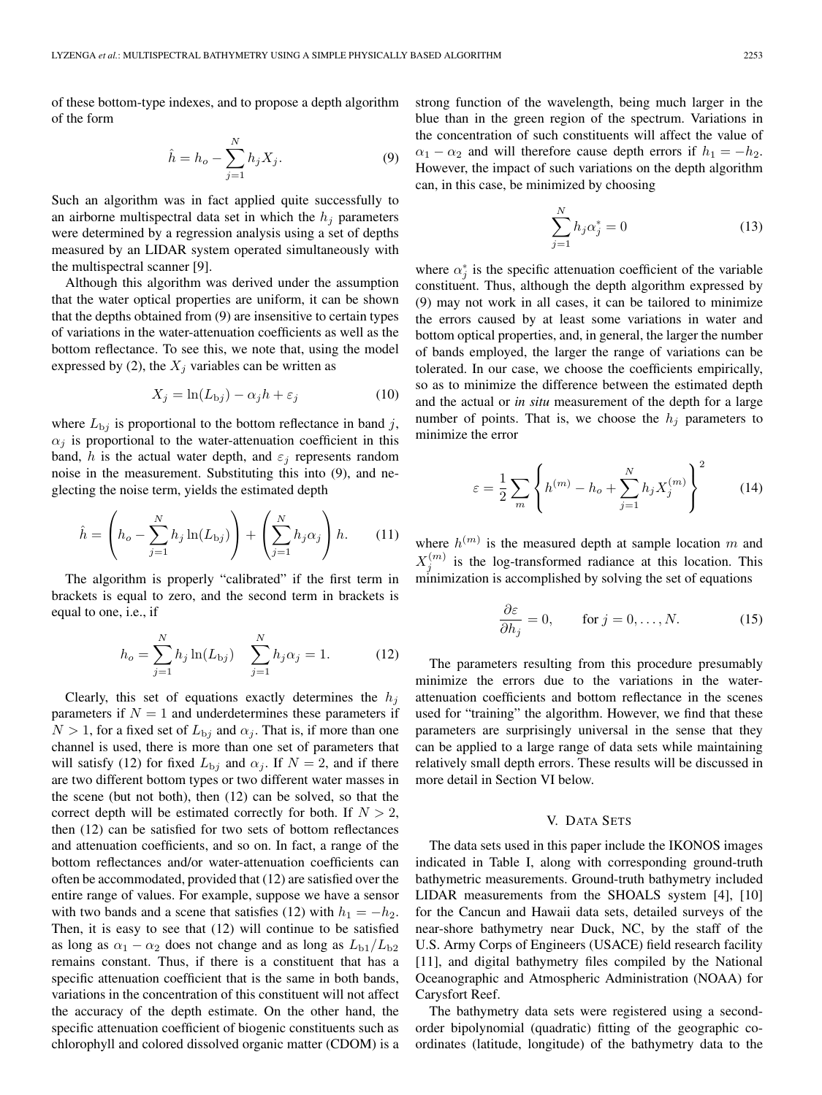of these bottom-type indexes, and to propose a depth algorithm of the form

$$
\hat{h} = h_o - \sum_{j=1}^{N} h_j X_j.
$$
 (9)

Such an algorithm was in fact applied quite successfully to an airborne multispectral data set in which the  $h_i$  parameters were determined by a regression analysis using a set of depths measured by an LIDAR system operated simultaneously with the multispectral scanner [9].

Although this algorithm was derived under the assumption that the water optical properties are uniform, it can be shown that the depths obtained from (9) are insensitive to certain types of variations in the water-attenuation coefficients as well as the bottom reflectance. To see this, we note that, using the model expressed by (2), the  $X_i$  variables can be written as

$$
X_j = \ln(L_{\text{b}j}) - \alpha_j h + \varepsilon_j \tag{10}
$$

where  $L_{\text{b}j}$  is proportional to the bottom reflectance in band j,  $\alpha_j$  is proportional to the water-attenuation coefficient in this band, h is the actual water depth, and  $\varepsilon_i$  represents random noise in the measurement. Substituting this into (9), and neglecting the noise term, yields the estimated depth

$$
\hat{h} = \left(h_o - \sum_{j=1}^{N} h_j \ln(L_{\text{b}j})\right) + \left(\sum_{j=1}^{N} h_j \alpha_j\right) h. \tag{11}
$$

The algorithm is properly "calibrated" if the first term in brackets is equal to zero, and the second term in brackets is equal to one, i.e., if

$$
h_o = \sum_{j=1}^{N} h_j \ln(L_{\text{b}j}) \quad \sum_{j=1}^{N} h_j \alpha_j = 1. \tag{12}
$$

Clearly, this set of equations exactly determines the  $h_j$ parameters if  $N = 1$  and underdetermines these parameters if  $N > 1$ , for a fixed set of  $L_{\text{b}j}$  and  $\alpha_j$ . That is, if more than one channel is used, there is more than one set of parameters that will satisfy (12) for fixed  $L_{\text{b}j}$  and  $\alpha_j$ . If  $N = 2$ , and if there are two different bottom types or two different water masses in the scene (but not both), then (12) can be solved, so that the correct depth will be estimated correctly for both. If  $N > 2$ , then (12) can be satisfied for two sets of bottom reflectances and attenuation coefficients, and so on. In fact, a range of the bottom reflectances and/or water-attenuation coefficients can often be accommodated, provided that (12) are satisfied over the entire range of values. For example, suppose we have a sensor with two bands and a scene that satisfies (12) with  $h_1 = -h_2$ . Then, it is easy to see that (12) will continue to be satisfied as long as  $\alpha_1 - \alpha_2$  does not change and as long as  $L_{b1}/L_{b2}$ remains constant. Thus, if there is a constituent that has a specific attenuation coefficient that is the same in both bands, variations in the concentration of this constituent will not affect the accuracy of the depth estimate. On the other hand, the specific attenuation coefficient of biogenic constituents such as chlorophyll and colored dissolved organic matter (CDOM) is a

strong function of the wavelength, being much larger in the blue than in the green region of the spectrum. Variations in the concentration of such constituents will affect the value of  $\alpha_1 - \alpha_2$  and will therefore cause depth errors if  $h_1 = -h_2$ . However, the impact of such variations on the depth algorithm can, in this case, be minimized by choosing

$$
\sum_{j=1}^{N} h_j \alpha_j^* = 0 \tag{13}
$$

where  $\alpha_j^*$  is the specific attenuation coefficient of the variable constituent. Thus, although the depth algorithm expressed by (9) may not work in all cases, it can be tailored to minimize the errors caused by at least some variations in water and bottom optical properties, and, in general, the larger the number of bands employed, the larger the range of variations can be tolerated. In our case, we choose the coefficients empirically, so as to minimize the difference between the estimated depth and the actual or *in situ* measurement of the depth for a large number of points. That is, we choose the  $h_i$  parameters to minimize the error

$$
\varepsilon = \frac{1}{2} \sum_{m} \left\{ h^{(m)} - h_o + \sum_{j=1}^{N} h_j X_j^{(m)} \right\}^2 \tag{14}
$$

where  $h^{(m)}$  is the measured depth at sample location m and  $X_j^{(m)}$  is the log-transformed radiance at this location. This minimization is accomplished by solving the set of equations

$$
\frac{\partial \varepsilon}{\partial h_j} = 0, \quad \text{for } j = 0, \dots, N. \tag{15}
$$

The parameters resulting from this procedure presumably minimize the errors due to the variations in the waterattenuation coefficients and bottom reflectance in the scenes used for "training" the algorithm. However, we find that these parameters are surprisingly universal in the sense that they can be applied to a large range of data sets while maintaining relatively small depth errors. These results will be discussed in more detail in Section VI below.

# V. DATA SETS

The data sets used in this paper include the IKONOS images indicated in Table I, along with corresponding ground-truth bathymetric measurements. Ground-truth bathymetry included LIDAR measurements from the SHOALS system [4], [10] for the Cancun and Hawaii data sets, detailed surveys of the near-shore bathymetry near Duck, NC, by the staff of the U.S. Army Corps of Engineers (USACE) field research facility [11], and digital bathymetry files compiled by the National Oceanographic and Atmospheric Administration (NOAA) for Carysfort Reef.

The bathymetry data sets were registered using a secondorder bipolynomial (quadratic) fitting of the geographic coordinates (latitude, longitude) of the bathymetry data to the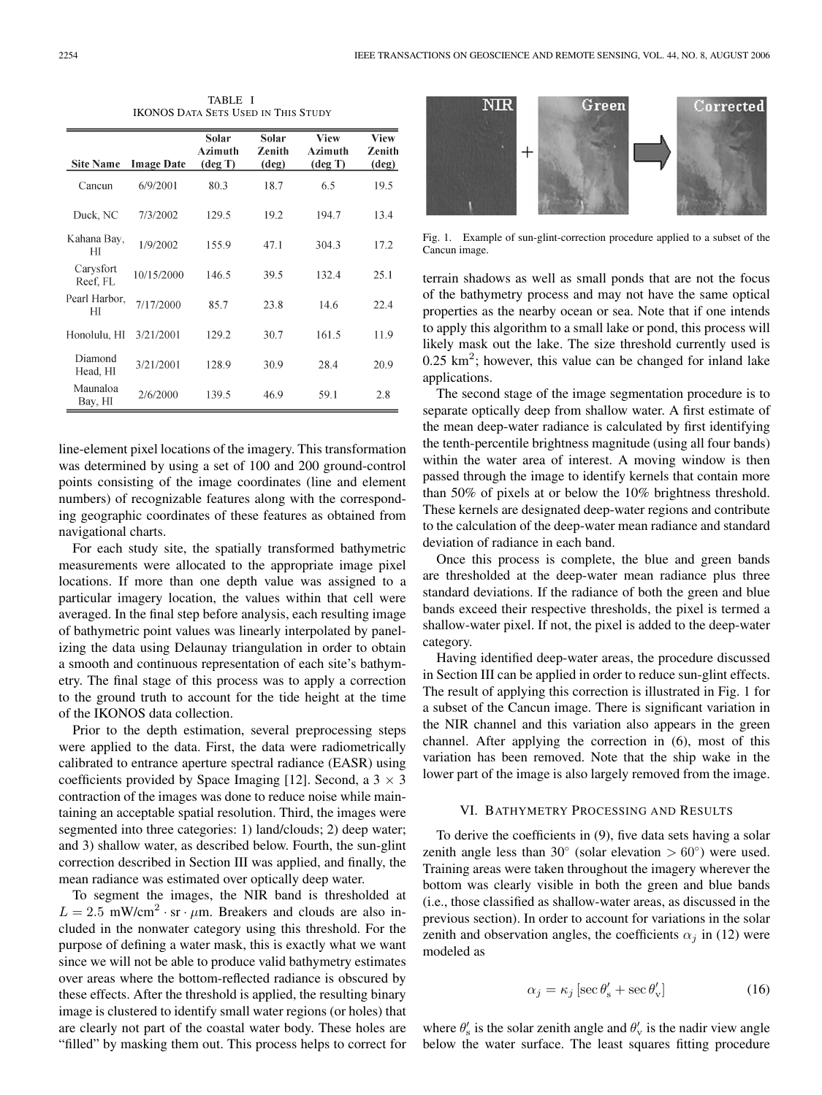| <b>Site Name</b>      | <b>Image Date</b> | Solar<br>Azimuth<br>$(\text{deg } T)$ | Solar<br>Zenith<br>(deg) | View<br><b>Azimuth</b><br>$(\text{deg } T)$ | View<br>Zenith<br>$(\text{deg})$ |
|-----------------------|-------------------|---------------------------------------|--------------------------|---------------------------------------------|----------------------------------|
| Cancun                | 6/9/2001          | 80.3                                  | 18.7                     | 6.5                                         | 19.5                             |
| Duck, NC              | 7/3/2002          | 129.5                                 | 19.2                     | 194.7                                       | 13.4                             |
| Kahana Bay,<br>НI     | 1/9/2002          | 155.9                                 | 47.1                     | 304.3                                       | 17.2                             |
| Carysfort<br>Reef, FL | 10/15/2000        | 146.5                                 | 39.5                     | 132.4                                       | 25.1                             |
| Pearl Harbor,<br>ΗΙ   | 7/17/2000         | 85.7                                  | 23.8                     | 14.6                                        | 22.4                             |
| Honolulu, HI          | 3/21/2001         | 129.2                                 | 30.7                     | 161.5                                       | 11.9                             |
| Diamond<br>Head, HI   | 3/21/2001         | 128.9                                 | 30.9                     | 28.4                                        | 20.9                             |
| Maunaloa<br>Bay, HI   | 2/6/2000          | 139.5                                 | 46.9                     | 59.1                                        | 2.8                              |

TABLE I IKONOS DATA SETS USED IN THIS STUDY

line-element pixel locations of the imagery. This transformation was determined by using a set of 100 and 200 ground-control points consisting of the image coordinates (line and element numbers) of recognizable features along with the corresponding geographic coordinates of these features as obtained from navigational charts.

For each study site, the spatially transformed bathymetric measurements were allocated to the appropriate image pixel locations. If more than one depth value was assigned to a particular imagery location, the values within that cell were averaged. In the final step before analysis, each resulting image of bathymetric point values was linearly interpolated by panelizing the data using Delaunay triangulation in order to obtain a smooth and continuous representation of each site's bathymetry. The final stage of this process was to apply a correction to the ground truth to account for the tide height at the time of the IKONOS data collection.

Prior to the depth estimation, several preprocessing steps were applied to the data. First, the data were radiometrically calibrated to entrance aperture spectral radiance (EASR) using coefficients provided by Space Imaging [12]. Second, a  $3 \times 3$ contraction of the images was done to reduce noise while maintaining an acceptable spatial resolution. Third, the images were segmented into three categories: 1) land/clouds; 2) deep water; and 3) shallow water, as described below. Fourth, the sun-glint correction described in Section III was applied, and finally, the mean radiance was estimated over optically deep water.

To segment the images, the NIR band is thresholded at  $L = 2.5$  mW/cm<sup>2</sup> · sr ·  $\mu$ m. Breakers and clouds are also included in the nonwater category using this threshold. For the purpose of defining a water mask, this is exactly what we want since we will not be able to produce valid bathymetry estimates over areas where the bottom-reflected radiance is obscured by these effects. After the threshold is applied, the resulting binary image is clustered to identify small water regions (or holes) that are clearly not part of the coastal water body. These holes are "filled" by masking them out. This process helps to correct for



Fig. 1. Example of sun-glint-correction procedure applied to a subset of the Cancun image.

terrain shadows as well as small ponds that are not the focus of the bathymetry process and may not have the same optical properties as the nearby ocean or sea. Note that if one intends to apply this algorithm to a small lake or pond, this process will likely mask out the lake. The size threshold currently used is  $0.25 \text{ km}^2$ ; however, this value can be changed for inland lake applications.

The second stage of the image segmentation procedure is to separate optically deep from shallow water. A first estimate of the mean deep-water radiance is calculated by first identifying the tenth-percentile brightness magnitude (using all four bands) within the water area of interest. A moving window is then passed through the image to identify kernels that contain more than 50% of pixels at or below the 10% brightness threshold. These kernels are designated deep-water regions and contribute to the calculation of the deep-water mean radiance and standard deviation of radiance in each band.

Once this process is complete, the blue and green bands are thresholded at the deep-water mean radiance plus three standard deviations. If the radiance of both the green and blue bands exceed their respective thresholds, the pixel is termed a shallow-water pixel. If not, the pixel is added to the deep-water category.

Having identified deep-water areas, the procedure discussed in Section III can be applied in order to reduce sun-glint effects. The result of applying this correction is illustrated in Fig. 1 for a subset of the Cancun image. There is significant variation in the NIR channel and this variation also appears in the green channel. After applying the correction in (6), most of this variation has been removed. Note that the ship wake in the lower part of the image is also largely removed from the image.

#### VI. BATHYMETRY PROCESSING AND RESULTS

To derive the coefficients in (9), five data sets having a solar zenith angle less than 30 $\degree$  (solar elevation > 60 $\degree$ ) were used. Training areas were taken throughout the imagery wherever the bottom was clearly visible in both the green and blue bands (i.e., those classified as shallow-water areas, as discussed in the previous section). In order to account for variations in the solar zenith and observation angles, the coefficients  $\alpha_j$  in (12) were modeled as

$$
\alpha_j = \kappa_j \left[ \sec \theta_s' + \sec \theta_v' \right] \tag{16}
$$

where  $\theta'_{s}$  is the solar zenith angle and  $\theta'_{v}$  is the nadir view angle below the water surface. The least squares fitting procedure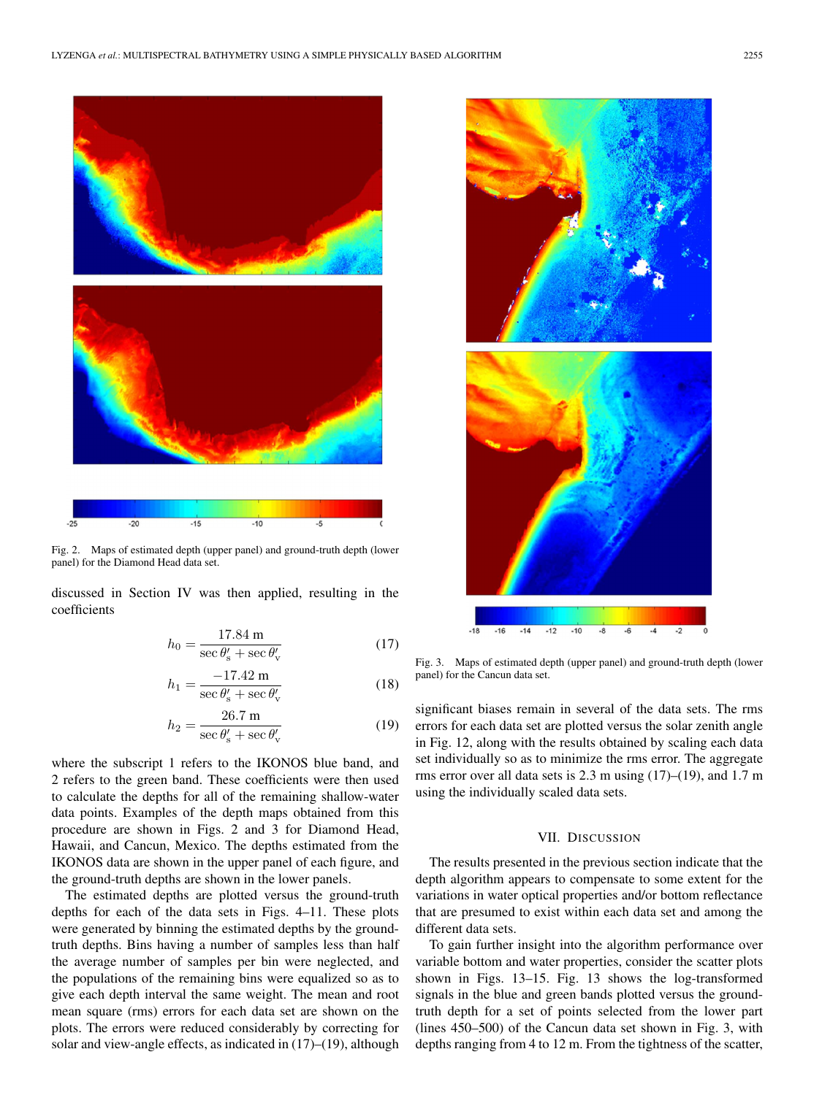

Fig. 2. Maps of estimated depth (upper panel) and ground-truth depth (lower panel) for the Diamond Head data set.

discussed in Section IV was then applied, resulting in the coefficients

$$
h_0 = \frac{17.84 \text{ m}}{\sec \theta'_{\rm s} + \sec \theta'_{\rm v}}\tag{17}
$$

$$
h_1 = \frac{-17.42 \text{ m}}{\sec \theta'_{\text{s}} + \sec \theta'_{\text{v}}} \tag{18}
$$

$$
h_2 = \frac{26.7 \text{ m}}{\sec \theta_s' + \sec \theta_v'} \tag{19}
$$

where the subscript 1 refers to the IKONOS blue band, and 2 refers to the green band. These coefficients were then used to calculate the depths for all of the remaining shallow-water data points. Examples of the depth maps obtained from this procedure are shown in Figs. 2 and 3 for Diamond Head, Hawaii, and Cancun, Mexico. The depths estimated from the IKONOS data are shown in the upper panel of each figure, and the ground-truth depths are shown in the lower panels.

The estimated depths are plotted versus the ground-truth depths for each of the data sets in Figs. 4–11. These plots were generated by binning the estimated depths by the groundtruth depths. Bins having a number of samples less than half the average number of samples per bin were neglected, and the populations of the remaining bins were equalized so as to give each depth interval the same weight. The mean and root mean square (rms) errors for each data set are shown on the plots. The errors were reduced considerably by correcting for solar and view-angle effects, as indicated in (17)–(19), although



Fig. 3. Maps of estimated depth (upper panel) and ground-truth depth (lower panel) for the Cancun data set.

significant biases remain in several of the data sets. The rms errors for each data set are plotted versus the solar zenith angle in Fig. 12, along with the results obtained by scaling each data set individually so as to minimize the rms error. The aggregate rms error over all data sets is 2.3 m using (17)–(19), and 1.7 m using the individually scaled data sets.

# VII. DISCUSSION

The results presented in the previous section indicate that the depth algorithm appears to compensate to some extent for the variations in water optical properties and/or bottom reflectance that are presumed to exist within each data set and among the different data sets.

To gain further insight into the algorithm performance over variable bottom and water properties, consider the scatter plots shown in Figs. 13–15. Fig. 13 shows the log-transformed signals in the blue and green bands plotted versus the groundtruth depth for a set of points selected from the lower part (lines 450–500) of the Cancun data set shown in Fig. 3, with depths ranging from 4 to 12 m. From the tightness of the scatter,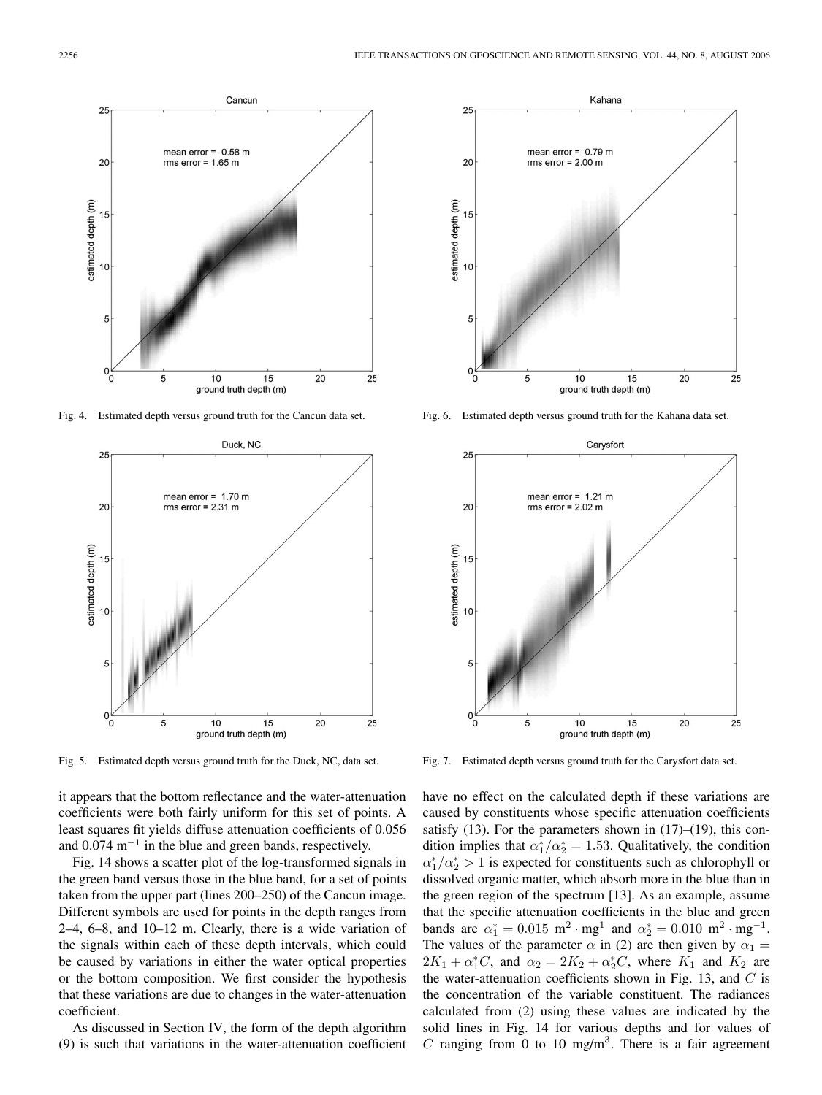

Fig. 4. Estimated depth versus ground truth for the Cancun data set.



Fig. 5. Estimated depth versus ground truth for the Duck, NC, data set.

it appears that the bottom reflectance and the water-attenuation coefficients were both fairly uniform for this set of points. A least squares fit yields diffuse attenuation coefficients of 0.056 and  $0.074$  m<sup>-1</sup> in the blue and green bands, respectively.

Fig. 14 shows a scatter plot of the log-transformed signals in the green band versus those in the blue band, for a set of points taken from the upper part (lines 200–250) of the Cancun image. Different symbols are used for points in the depth ranges from 2–4, 6–8, and 10–12 m. Clearly, there is a wide variation of the signals within each of these depth intervals, which could be caused by variations in either the water optical properties or the bottom composition. We first consider the hypothesis that these variations are due to changes in the water-attenuation coefficient.

As discussed in Section IV, the form of the depth algorithm (9) is such that variations in the water-attenuation coefficient



Fig. 6. Estimated depth versus ground truth for the Kahana data set.



Fig. 7. Estimated depth versus ground truth for the Carysfort data set.

have no effect on the calculated depth if these variations are caused by constituents whose specific attenuation coefficients satisfy  $(13)$ . For the parameters shown in  $(17)–(19)$ , this condition implies that  $\alpha_1^*/\alpha_2^* = 1.53$ . Qualitatively, the condition  $\alpha_1^*/\alpha_2^* > 1$  is expected for constituents such as chlorophyll or dissolved organic matter, which absorb more in the blue than in the green region of the spectrum [13]. As an example, assume that the specific attenuation coefficients in the blue and green bands are  $\alpha_1^* = 0.015 \text{ m}^2 \cdot \text{mg}^1$  and  $\alpha_2^* = 0.010 \text{ m}^2 \cdot \text{mg}^{-1}$ . The values of the parameter  $\alpha$  in (2) are then given by  $\alpha_1 =$  $2K_1 + \alpha_1^*C$ , and  $\alpha_2 = 2K_2 + \alpha_2^*C$ , where  $K_1$  and  $K_2$  are the water-attenuation coefficients shown in Fig. 13, and  $C$  is the concentration of the variable constituent. The radiances calculated from (2) using these values are indicated by the solid lines in Fig. 14 for various depths and for values of C ranging from 0 to 10 mg/m<sup>3</sup>. There is a fair agreement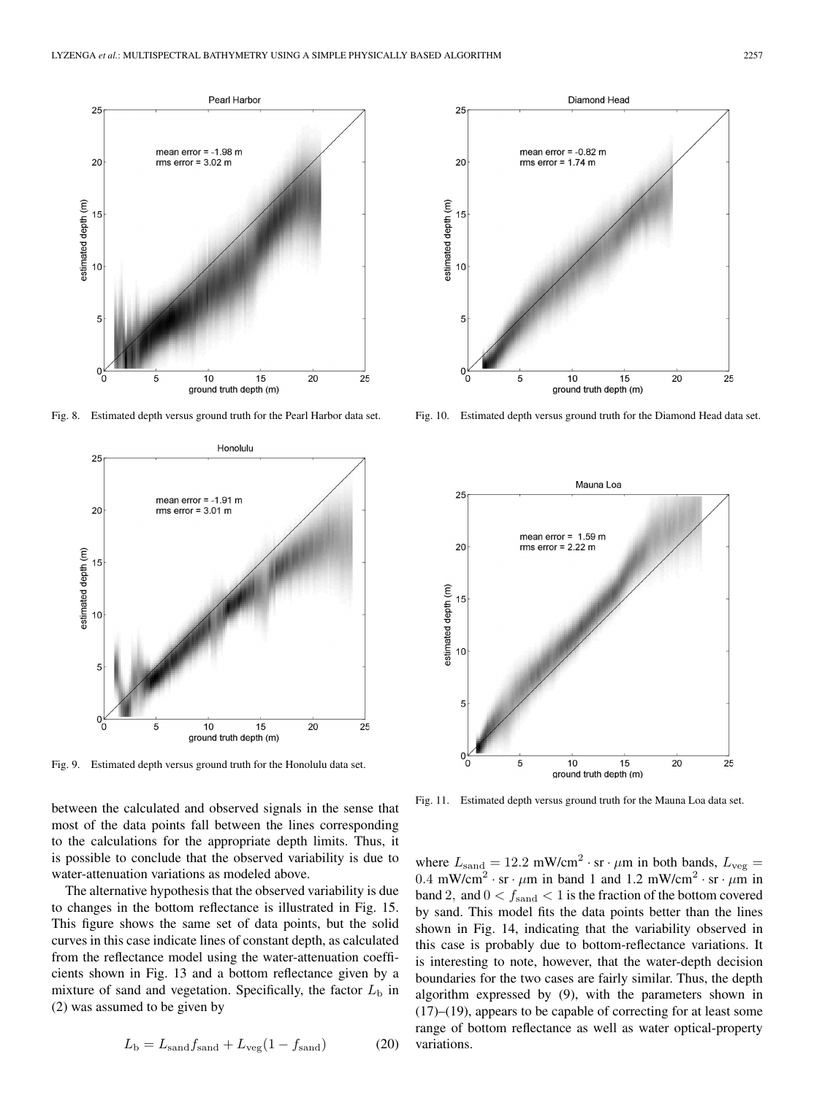

Fig. 8. Estimated depth versus ground truth for the Pearl Harbor data set.



Fig. 9. Estimated depth versus ground truth for the Honolulu data set.

between the calculated and observed signals in the sense that most of the data points fall between the lines corresponding to the calculations for the appropriate depth limits. Thus, it is possible to conclude that the observed variability is due to water-attenuation variations as modeled above.

The alternative hypothesis that the observed variability is due to changes in the bottom reflectance is illustrated in Fig. 15. This figure shows the same set of data points, but the solid curves in this case indicate lines of constant depth, as calculated from the reflectance model using the water-attenuation coefficients shown in Fig. 13 and a bottom reflectance given by a mixture of sand and vegetation. Specifically, the factor  $L<sub>b</sub>$  in (2) was assumed to be given by

$$
L_{\rm b} = L_{\rm sand} f_{\rm sand} + L_{\rm veg} (1 - f_{\rm sand})
$$
 (20)



Fig. 10. Estimated depth versus ground truth for the Diamond Head data set.



Fig. 11. Estimated depth versus ground truth for the Mauna Loa data set.

where  $L_{\text{sand}} = 12.2 \text{ mW/cm}^2 \cdot \text{sr} \cdot \mu \text{m}$  in both bands,  $L_{\text{veg}} =$ 0.4 mW/cm<sup>2</sup> · sr ·  $\mu$ m in band 1 and 1.2 mW/cm<sup>2</sup> · sr ·  $\mu$ m in band 2, and  $0 < f_{\text{sand}} < 1$  is the fraction of the bottom covered by sand. This model fits the data points better than the lines shown in Fig. 14, indicating that the variability observed in this case is probably due to bottom-reflectance variations. It is interesting to note, however, that the water-depth decision boundaries for the two cases are fairly similar. Thus, the depth algorithm expressed by (9), with the parameters shown in (17)–(19), appears to be capable of correcting for at least some range of bottom reflectance as well as water optical-property variations.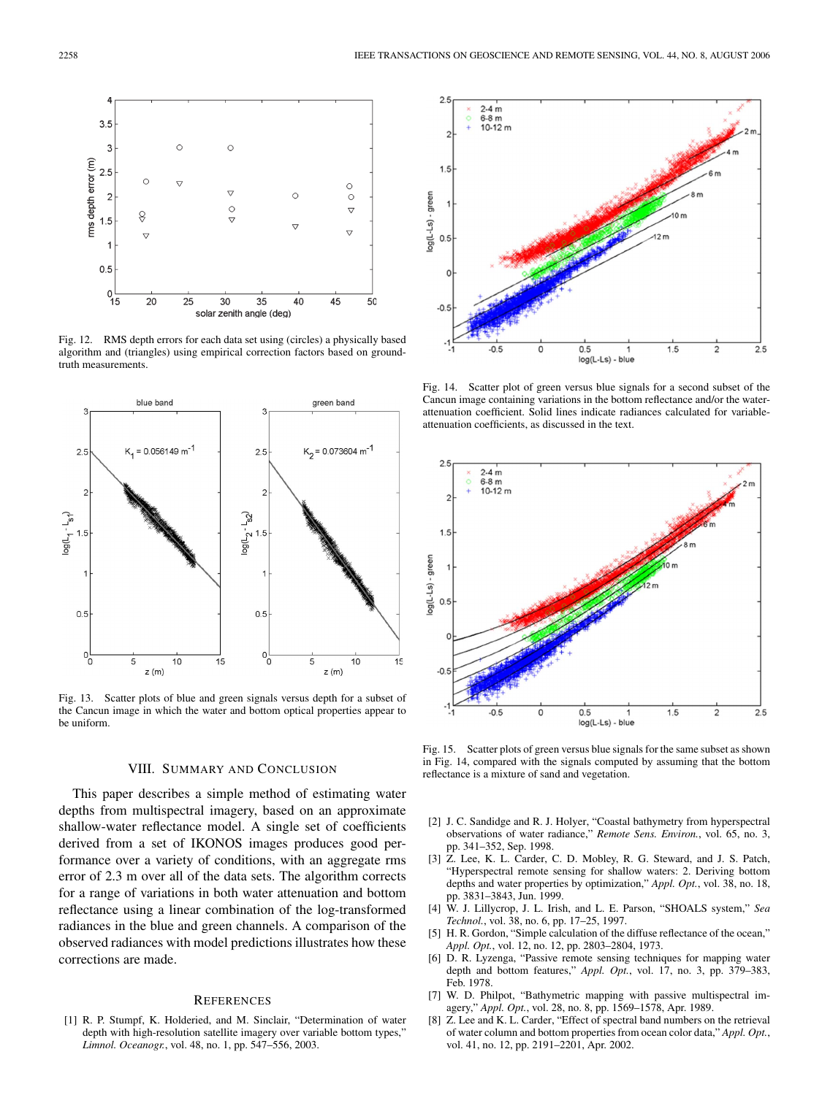

Fig. 12. RMS depth errors for each data set using (circles) a physically based algorithm and (triangles) using empirical correction factors based on groundtruth measurements.



Fig. 13. Scatter plots of blue and green signals versus depth for a subset of the Cancun image in which the water and bottom optical properties appear to be uniform.

# VIII. SUMMARY AND CONCLUSION

This paper describes a simple method of estimating water depths from multispectral imagery, based on an approximate shallow-water reflectance model. A single set of coefficients derived from a set of IKONOS images produces good performance over a variety of conditions, with an aggregate rms error of 2.3 m over all of the data sets. The algorithm corrects for a range of variations in both water attenuation and bottom reflectance using a linear combination of the log-transformed radiances in the blue and green channels. A comparison of the observed radiances with model predictions illustrates how these corrections are made.

#### **REFERENCES**

[1] R. P. Stumpf, K. Holderied, and M. Sinclair, "Determination of water depth with high-resolution satellite imagery over variable bottom types," *Limnol. Oceanogr.*, vol. 48, no. 1, pp. 547–556, 2003.



Fig. 14. Scatter plot of green versus blue signals for a second subset of the Cancun image containing variations in the bottom reflectance and/or the waterattenuation coefficient. Solid lines indicate radiances calculated for variableattenuation coefficients, as discussed in the text.



Fig. 15. Scatter plots of green versus blue signals for the same subset as shown in Fig. 14, compared with the signals computed by assuming that the bottom reflectance is a mixture of sand and vegetation.

- [2] J. C. Sandidge and R. J. Holyer, "Coastal bathymetry from hyperspectral observations of water radiance," *Remote Sens. Environ.*, vol. 65, no. 3, pp. 341–352, Sep. 1998.
- [3] Z. Lee, K. L. Carder, C. D. Mobley, R. G. Steward, and J. S. Patch, "Hyperspectral remote sensing for shallow waters: 2. Deriving bottom depths and water properties by optimization," *Appl. Opt.*, vol. 38, no. 18, pp. 3831–3843, Jun. 1999.
- [4] W. J. Lillycrop, J. L. Irish, and L. E. Parson, "SHOALS system," *Sea Technol.*, vol. 38, no. 6, pp. 17–25, 1997.
- [5] H. R. Gordon, "Simple calculation of the diffuse reflectance of the ocean," *Appl. Opt.*, vol. 12, no. 12, pp. 2803–2804, 1973.
- [6] D. R. Lyzenga, "Passive remote sensing techniques for mapping water depth and bottom features," *Appl. Opt.*, vol. 17, no. 3, pp. 379–383, Feb. 1978.
- [7] W. D. Philpot, "Bathymetric mapping with passive multispectral imagery," *Appl. Opt.*, vol. 28, no. 8, pp. 1569–1578, Apr. 1989.
- [8] Z. Lee and K. L. Carder, "Effect of spectral band numbers on the retrieval of water column and bottom properties from ocean color data," *Appl. Opt.*, vol. 41, no. 12, pp. 2191–2201, Apr. 2002.